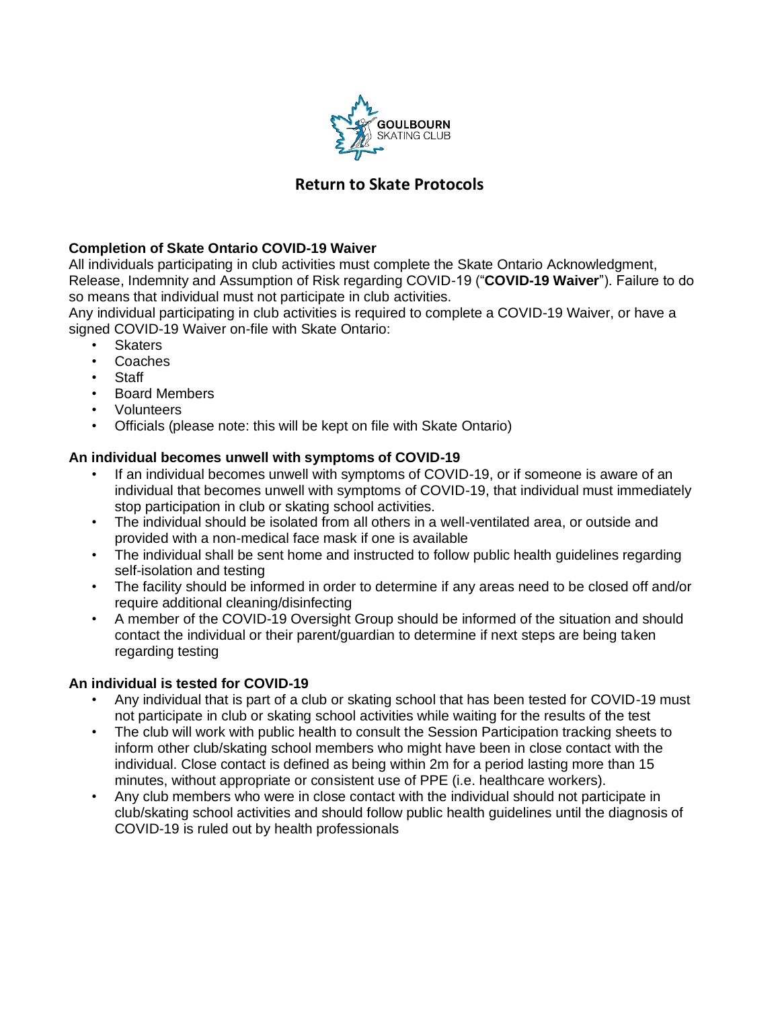

# **Return to Skate Protocols**

# **Completion of Skate Ontario COVID-19 Waiver**

All individuals participating in club activities must complete the Skate Ontario Acknowledgment, Release, Indemnity and Assumption of Risk regarding COVID-19 ("**COVID-19 Waiver**"). Failure to do so means that individual must not participate in club activities.

Any individual participating in club activities is required to complete a COVID-19 Waiver, or have a signed COVID-19 Waiver on-file with Skate Ontario:

- **Skaters**
- Coaches
- **Staff**
- Board Members
- Volunteers
- Officials (please note: this will be kept on file with Skate Ontario)

# **An individual becomes unwell with symptoms of COVID-19**

- If an individual becomes unwell with symptoms of COVID-19, or if someone is aware of an individual that becomes unwell with symptoms of COVID-19, that individual must immediately stop participation in club or skating school activities.
- The individual should be isolated from all others in a well-ventilated area, or outside and provided with a non-medical face mask if one is available
- The individual shall be sent home and instructed to follow public health guidelines regarding self-isolation and testing
- The facility should be informed in order to determine if any areas need to be closed off and/or require additional cleaning/disinfecting
- A member of the COVID-19 Oversight Group should be informed of the situation and should contact the individual or their parent/guardian to determine if next steps are being taken regarding testing

## **An individual is tested for COVID-19**

- Any individual that is part of a club or skating school that has been tested for COVID-19 must not participate in club or skating school activities while waiting for the results of the test
- The club will work with public health to consult the Session Participation tracking sheets to inform other club/skating school members who might have been in close contact with the individual. Close contact is defined as being within 2m for a period lasting more than 15 minutes, without appropriate or consistent use of PPE (i.e. healthcare workers).
- Any club members who were in close contact with the individual should not participate in club/skating school activities and should follow public health guidelines until the diagnosis of COVID-19 is ruled out by health professionals